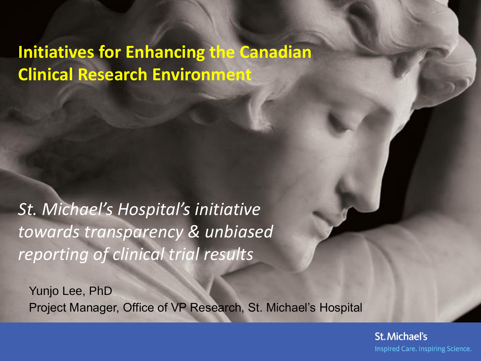# **Initiatives for Enhancing the Canadian Clinical Research Environment**

*St. Michael's Hospital's initiative towards transparency & unbiased reporting of clinical trial results*

Yunjo Lee, PhD Project Manager, Office of VP Research, St. Michael's Hospital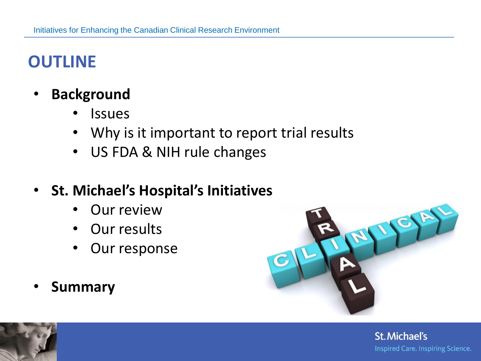#### **OUTLINE**

- **Background**
	- Issues
	- Why is it important to report trial results
	- US FDA & NIH rule changes
- **St. Michael's Hospital's Initiatives**
	- **Our review**
	- Our results
	- Our response
- **Summary**



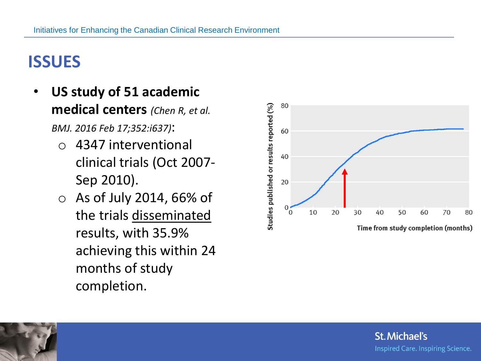## **ISSUES**

- **US study of 51 academic medical centers** *(Chen R, et al. BMJ. 2016 Feb 17;352:i637)*:
	- o 4347 interventional clinical trials (Oct 2007- Sep 2010).
	- o As of July 2014, 66% of the trials disseminated results, with 35.9% achieving this within 24 months of study completion.



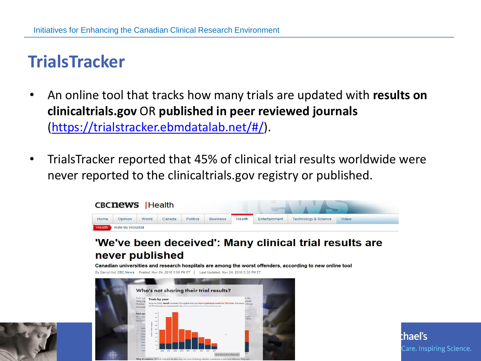## **TrialsTracker**

- An online tool that tracks how many trials are updated with **results on clinicaltrials.gov** OR **published in peer reviewed journals** [\(https://trialstracker.ebmdatalab.net/#/\)](https://trialstracker.ebmdatalab.net/#/).
- TrialsTracker reported that 45% of clinical trial results worldwide were never reported to the clinicaltrials.gov registry or published.

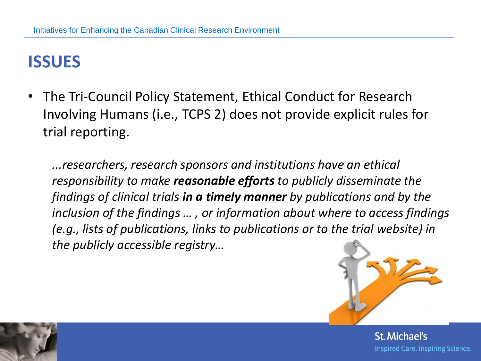#### **ISSUES**

• The Tri-Council Policy Statement, Ethical Conduct for Research Involving Humans (i.e., TCPS 2) does not provide explicit rules for trial reporting.

*...researchers, research sponsors and institutions have an ethical responsibility to make reasonable efforts to publicly disseminate the findings of clinical trials in a timely manner by publications and by the inclusion of the findings … , or information about where to access findings (e.g., lists of publications, links to publications or to the trial website) in the publicly accessible registry…*



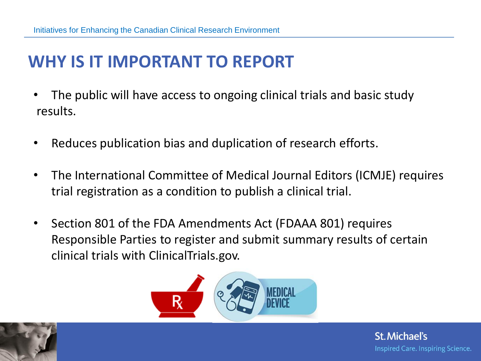## **WHY IS IT IMPORTANT TO REPORT**

- The public will have access to ongoing clinical trials and basic study results.
- Reduces publication bias and duplication of research efforts.
- The International Committee of Medical Journal Editors (ICMJE) requires trial registration as a condition to publish a clinical trial.
- Section 801 of the FDA Amendments Act (FDAAA 801) requires Responsible Parties to register and submit summary results of certain clinical trials with ClinicalTrials.gov.



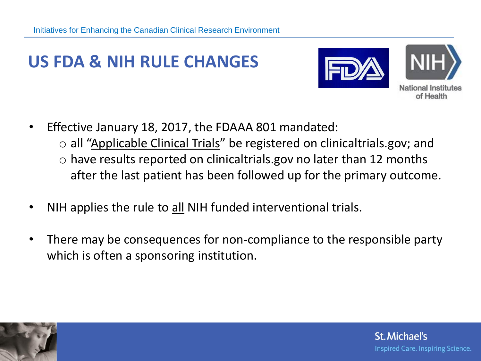## **US FDA & NIH RULE CHANGES**





**National Institutes** of Health

- Effective January 18, 2017, the FDAAA 801 mandated:
	- o all "Applicable Clinical Trials" be registered on clinicaltrials.gov; and  $\circ$  have results reported on clinicaltrials.gov no later than 12 months after the last patient has been followed up for the primary outcome.
- NIH applies the rule to all NIH funded interventional trials.
- There may be consequences for non-compliance to the responsible party which is often a sponsoring institution.

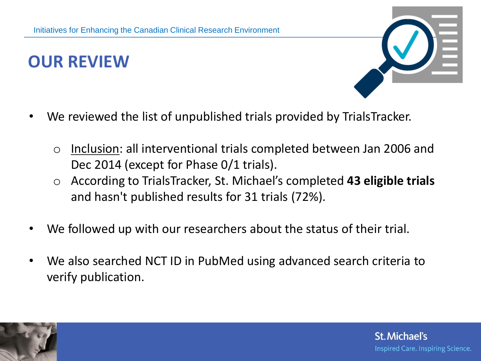### **OUR REVIEW**



**St. Michael's** 

Inspired Care. Inspiring Science.

- We reviewed the list of unpublished trials provided by TrialsTracker.
	- o Inclusion: all interventional trials completed between Jan 2006 and Dec 2014 (except for Phase 0/1 trials).
	- o According to TrialsTracker, St. Michael's completed **43 eligible trials**  and hasn't published results for 31 trials (72%).
- We followed up with our researchers about the status of their trial.
- We also searched NCT ID in PubMed using advanced search criteria to verify publication.

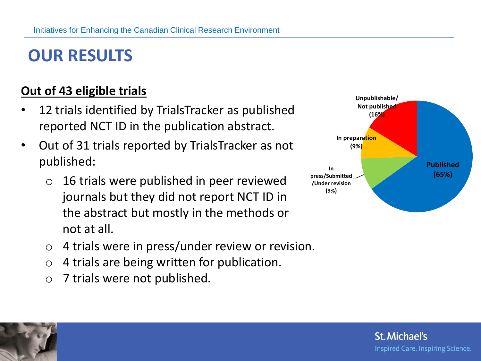### **OUR RESULTS**

#### **Out of 43 eligible trials**

- 12 trials identified by TrialsTracker as published reported NCT ID in the publication abstract.
- Out of 31 trials reported by TrialsTracker as not published:
	- $\circ$  16 trials were published in peer reviewed journals but they did not report NCT ID in the abstract but mostly in the methods or not at all.
	- o 4 trials were in press/under review or revision.
	- $\circ$  4 trials are being written for publication.
	- o 7 trials were not published.



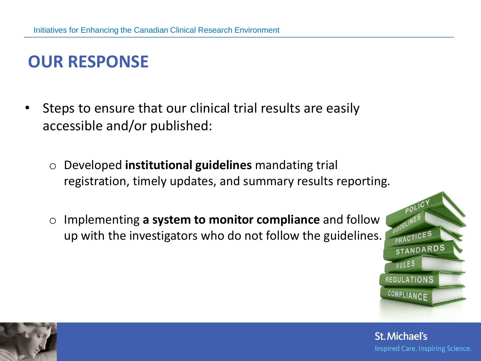## **OUR RESPONSE**

- Steps to ensure that our clinical trial results are easily accessible and/or published:
	- o Developed **institutional guidelines** mandating trial registration, timely updates, and summary results reporting.
	- o Implementing **a system to monitor compliance** and follow up with the investigators who do not follow the guidelines.



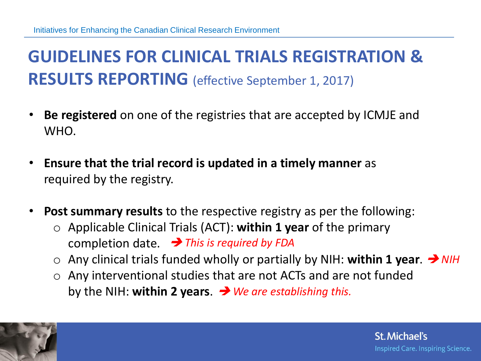## **GUIDELINES FOR CLINICAL TRIALS REGISTRATION & RESULTS REPORTING** (effective September 1, 2017)

- **Be registered** on one of the registries that are accepted by ICMJE and WHO.
- **Ensure that the trial record is updated in a timely manner** as required by the registry.
- **Post summary results** to the respective registry as per the following:
	- o Applicable Clinical Trials (ACT): **within 1 year** of the primary completion date. *This is required by FDA*
	- o Any clinical trials funded wholly or partially by NIH: **within 1 year**. *NIH*
	- o Any interventional studies that are not ACTs and are not funded by the NIH: **within 2 years**. *We are establishing this.*

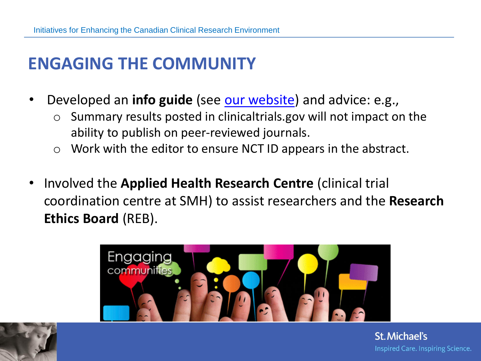### **ENGAGING THE COMMUNITY**

- Developed an **info guide** (see [our website](http://stmichaelshospitalresearch.ca/staff-services/research-ethics/guidelines-for-clinical-trial-registration-and-results-reporting/)) and advice: e.g.,
	- $\circ$  Summary results posted in clinicaltrials.gov will not impact on the ability to publish on peer-reviewed journals.
	- o Work with the editor to ensure NCT ID appears in the abstract.
- Involved the **Applied Health Research Centre** (clinical trial coordination centre at SMH) to assist researchers and the **Research Ethics Board** (REB).



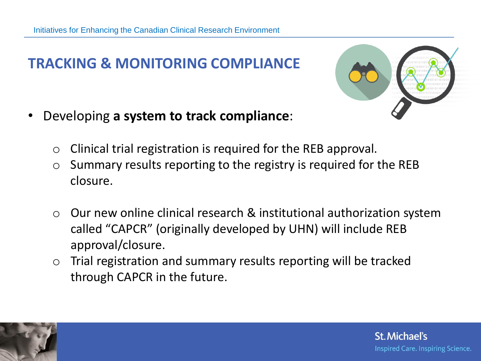#### **TRACKING & MONITORING COMPLIANCE**

**St. Michael's** 

Inspired Care. Inspiring Science.

- Developing **a system to track compliance**:
	- $\circ$  Clinical trial registration is required for the REB approval.
	- $\circ$  Summary results reporting to the registry is required for the REB closure.
	- o Our new online clinical research & institutional authorization system called "CAPCR" (originally developed by UHN) will include REB approval/closure.
	- o Trial registration and summary results reporting will be tracked through CAPCR in the future.